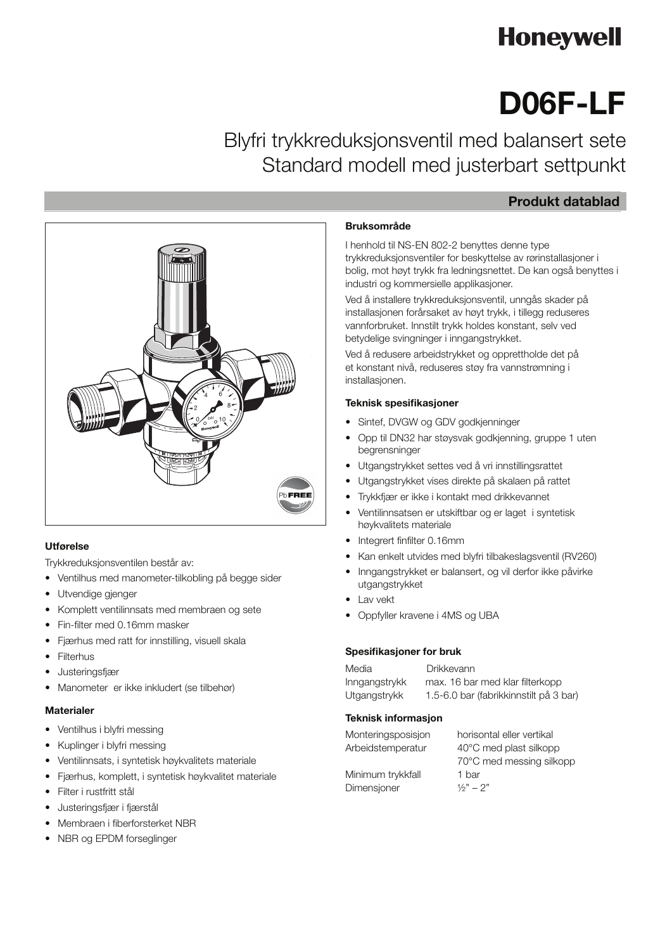# **Honeywell**

## **D06F-LF** D06F-LF

Leadfree pressure reducing valve with balanced seat Kandard modell med justerbart settpunk Blyfri trykkreduksjonsventil med balansert sete Standard modell med justerbart settpunkt

## **Produkt datablad**



#### **Construction** Utførelse

Trykkreduksjonsventilen består av:

- Ventilhus med manometer-tilkobling på begge sider
- Utvendige gjenger
- Komplett ventilinnsats med membraen og sete
- Fin-filter med 0.16mm masker
- Fjærhus med ratt for innstilling, visuell skala
- **Filterhus**
- Justeringsfjær
- $\frac{1}{2}$ • Manometer er ikke inkludert (se tilbehør)

#### **Materials** Materialer

- Ventilhus i blyfri messing
- Kuplinger i blyfri messing
- Ventilinnsats, i syntetisk høykvalitets materiale
- Fjærhus, komplett, i syntetisk høykvalitet materiale
- Filter i rustfritt stål
- Justeringsfjær i fjærstål
- Membraen i fiberforsterket NBR
- NBR og EPDM forseglinger

### **Application** Bruksområde

I henhold til NS-EN 802-2 benyttes denne type trykkreduksjonsventiler for beskyttelse av rørinstallasjoner i bolig, mot høyt trykk fra ledningsnettet. De kan også benyttes i industri og kommersielle applikasjoner.

Ved å installere trykkreduksjonsventil, unngås skader på installasjonen forårsaket av høyt trykk, i tillegg reduseres vannforbruket. Innstilt trykk holdes konstant, selv ved betydelige svingninger i inngangstrykket.

red a reduction and dividend property pressure and maintaining it at an at an at an at an at an at a et konstant nivå, reduseres støy fra vannstrømning i Ved å redusere arbeidstrykket og opprettholde det på installasjonen.

## Teknisk spesifikasjoner

- Sintef, DVGW og GDV godkjenninger
- Opp til DN32 har støysvak godkjenning, gruppe 1 uten begrensninger by turning the adjustment knobs was adjusted to a set of a set  $\alpha$
- Utgangstrykket settes ved å vri innstillingsrattet
- Utgangstrykket vises direkte på skalaen på rattet
- Trykkfjær er ikke i kontakt med drikkevannet
- Ventilinnsatsen er utskiftbar og er laget i syntetisk høykvalitets materiale
- $\sim$  measurement value to compute the ring filter value of  $\sim$ • Integrert finfilter 0.16mm
- Kan enkelt utvides med blyfri tilbakeslagsventil (RV260)
- Inngangstrykket er balansert, og vil derfor ikke påvirke • Inlet pressure balancing - fluctuating inlet pressure does not utgangstrykket
- Lav vekt
- Oppfyller kravene i 4MS og UBA

#### Spesifikasjoner for bruk

| Media         | Drikkevann                             |
|---------------|----------------------------------------|
| Inngangstrykk | max. 16 bar med klar filterkopp        |
| Utgangstrykk  | 1.5-6.0 bar (fabrikkinnstilt på 3 bar) |

#### **Teknisk informasjon**

| Monteringsposisjon | horisontal eller vertikal |
|--------------------|---------------------------|
| Arbeidstemperatur  | 40°C med plast silkopp    |
|                    | 70°C med messing silkopp  |
| Minimum trykkfall  | 1 bar                     |
| Dimensjoner        | $1/2" - 2"$               |
|                    |                           |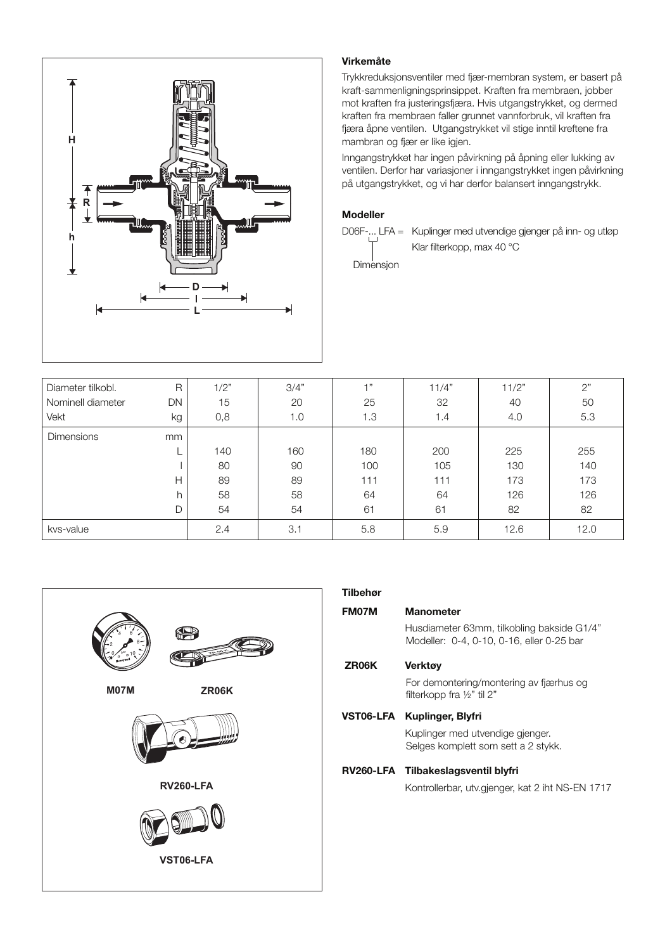

### **Method of Operation**<br> **Method of Operation**

Trykkreduksjonsventiler med fjær-membran system, er basert på kraft-sammenligningsprinsippet. Kraften fra membraen, jobber<br>
kraft-sammenligningsprinsippet. Kraften fra membraen, jobber mot kraften fra justeringsfjæra. Hvis utgangstrykket, og dermed kraften fra membraen faller grunnet vannforbruk, vil kraften fra tjæra aphe ventilen. Otgangstrykket vil stige inntil kreitene fra mannoran og ijær er like igjen. against the force of an adjustment spring. If the outlet pressure kraften fra membraen faller grunnet vannforbruk, vil kraften fra and therefore diaphragm force fall because medium is drawn, the fjæra åpne ventilen. Utgangstrykket vil stige inntil kreftene fra then greater force of the spring causes the valve to open. The mambran og fjær er like igjen.

Inngangstrykket har ingen påvirkning på å Verluien. Der for har vanasjoner i influgangsu ykkel ingeni pavirkning pa utgangsu ynnet, by yn har uerfor baiarisert inligangsu ynn. Inngangstrykket har ingen påvirkning på åpning eller lukking av diangangstrykket har ingen påvirkning på apriling eller lakking av ventilen. Derfor har variasjoner i inngangstrykket ingen påvirkning på utgangstrykket, og vi har derfor balansert inngangstrykk.  $\mathbf{B}$  the value of this, in let  $\mathbf{B}$  be not the value fluctuation does not the value of the value of the value of the value of the value of the value of the value of the value of the value of the value of the value

#### Modeller

D06F-... LFA = Kuplinger med utvendige gjenger på inn- og utløp  $\blacksquare$  Klar filterkopp, max 40 °C  $\Box$ Find theoretipp, then to  $\Box$ 

Dimensjon

| Diameter tilkobl. | R         | 1/2" | 3/4" | $-1$ 33 | 11/4" | 11/2" | 2"   |
|-------------------|-----------|------|------|---------|-------|-------|------|
| Nominell diameter | <b>DN</b> | 15   | 20   | 25      | 32    | 40    | 50   |
| Vekt              | kg        | 0,8  | 1.0  | 1.3     | 1.4   | 4.0   | 5.3  |
| <b>Dimensions</b> | mm        |      |      |         |       |       |      |
|                   |           | 140  | 160  | 180     | 200   | 225   | 255  |
|                   |           | 80   | 90   | 100     | 105   | 130   | 140  |
|                   | н         | 89   | 89   | 111     | 111   | 173   | 173  |
|                   | h         | 58   | 58   | 64      | 64    | 126   | 126  |
|                   | D         | 54   | 54   | 61      | 61    | 82    | 82   |
| kvs-value         |           | 2.4  | 3.1  | 5.8     | 5.9   | 12.6  | 12.0 |



#### **Accessories** Tilbehør FM07M Manometer Husdiameter 63mm, tilkobling bakside G1/4"  $N$ lodeller:  $U$ -4,  $U$ -10,  $U$ -10, eiler  $U$ -25 Dar **M07M Pressure gauge** ZR06K Verktøy For demontering/montering av fjærhus og<br>filterkenn fra 14" til 9" filterkopp fra  $\frac{1}{2}$ " til 2" VST06-LFA Kuplinger, Blyfri when ordering<br>Kuplinger med utvendige gjenger. Selges komplett som sett a 2 stykk. **Liipak** Kontrollerbar, utv.gjenger, kat 2 iht NS-EN 1717  $\frac{1}{2}$ **FN09S HABEDO ® Retrofit filter** ridodidation continuity throbing barondo Modeller: 0-4, 0-10, 0-16, eller 0-25 bar **Marine Science** game **g** den LEA Tilbekeelessusstil blufui RV260-LFA Tilbakeslagsventil blyfri **ZR06K Double ring wrench**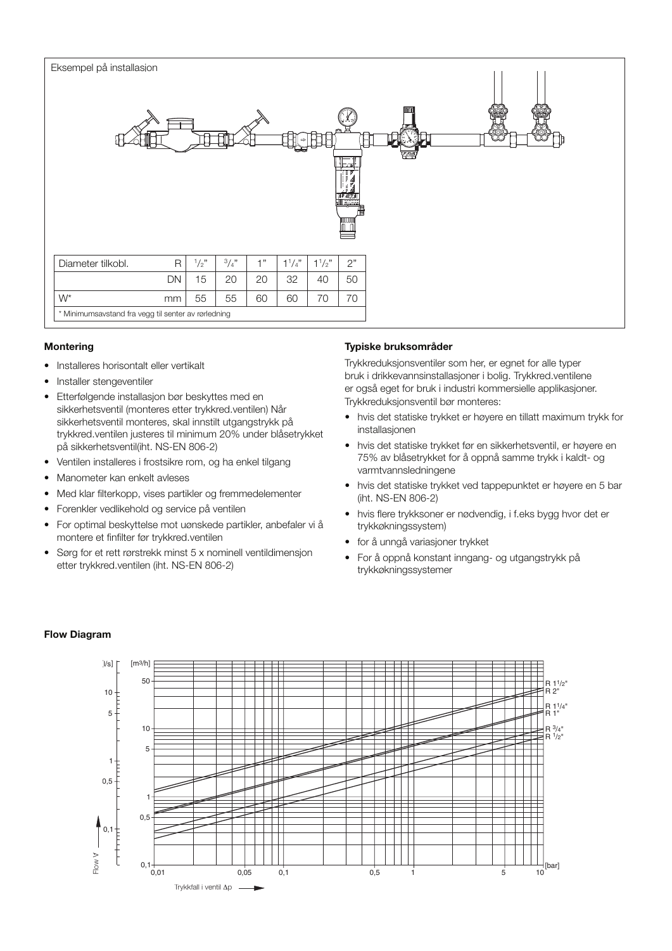

#### **Montering**

- Installeres horisontalt eller vertikalt
- Installer stengeventiler
- Etterfølgende installasjon bør beskyttes med en Litenbigende installasjon bør beskyttes med en<br>sikkerhetsventil (monteres etter trykkred.ventilen) Når sikkerhetsventil monteres, skal innstilt utgangstrykk på en reducere som de utenselse, en minimum 20% under blåsetrykket<br>trykkred.ventilen justeres til minimum 20% under blåsetrykket på sikkerhetsventil(iht. NS-EN 806-2)
- Ventilen installeres i frostsikre rom, og ha enkel tilgang
- Manometer kan enkelt avleses
- Med klar filterkopp, vises partikler og fremmedelementer
- Forenkler vedlikehold og service på ventilen seen
- For optimal beskyttelse mot uønskede partikler, anbefaler vi å montere et finfilter før trykkred.ventilen or optimal beskyttelse mot ubiliskede
- Sørg for et rett rørstrekk minst 5 x nominell ventildimensjon etter trykkred.ventilen (iht. NS-EN 806-2)

#### **Typiske bruksområder**

Trykkreduksjonsventiler som her, er egnet for alle typer mynnessensystementen som har, se signes om an systemeter and the sum of the bruk i drikkevannsinstallasjoner i bolig. Trykkred.ventilene er også eget for bruk i industri kommersielle applikasjoner. Trykkreduksjonsventil bør monteres:

- hvis det statiske trykket er høyere en tillatt maximum trykk for exceeds the static pressure exceeds the maximum permission of the maximum permission of the maximum permission
- hvis det statiske trykket før en sikkerhetsventil, er høyere en 75% av blåsetrykket for å oppnå samme trykk i kaldt- og varmtvannsledningene
- hvis det statiske trykket ved tappepunktet er høyere en 5 bar (iht. NS-EN 806-2)
- hvis flere trykksoner er nødvendig, i f.eks bygg hvor det er trykkøkningssystem)
- for å unngå variasjoner trykket
- $\bullet~$  For å oppnå konstant inngang- og utgangstrykk på trykkøkningssystemer

#### Flow Diagram